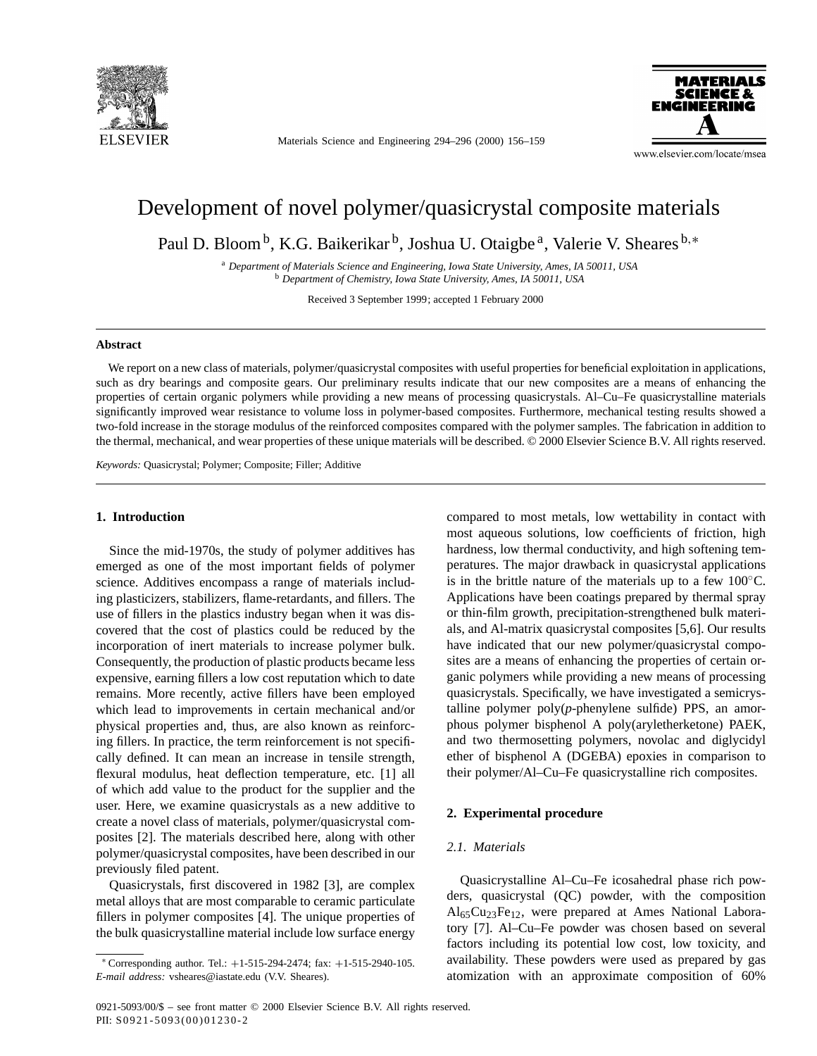

Materials Science and Engineering 294–296 (2000) 156–159



www.elsevier.com/locate/msea

# Development of novel polymer/quasicrystal composite materials

Paul D. Bloom<sup>b</sup>, K.G. Baikerikar<sup>b</sup>, Joshua U. Otaigbe<sup>a</sup>, Valerie V. Sheares<sup>b,∗</sup>

<sup>a</sup> *Department of Materials Science and Engineering, Iowa State University, Ames, IA 50011, USA* <sup>b</sup> *Department of Chemistry, Iowa State University, Ames, IA 50011, USA*

Received 3 September 1999; accepted 1 February 2000

# **Abstract**

We report on a new class of materials, polymer/quasicrystal composites with useful properties for beneficial exploitation in applications, such as dry bearings and composite gears. Our preliminary results indicate that our new composites are a means of enhancing the properties of certain organic polymers while providing a new means of processing quasicrystals. Al–Cu–Fe quasicrystalline materials significantly improved wear resistance to volume loss in polymer-based composites. Furthermore, mechanical testing results showed a two-fold increase in the storage modulus of the reinforced composites compared with the polymer samples. The fabrication in addition to the thermal, mechanical, and wear properties of these unique materials will be described. © 2000 Elsevier Science B.V. All rights reserved.

*Keywords:* Quasicrystal; Polymer; Composite; Filler; Additive

# **1. Introduction**

Since the mid-1970s, the study of polymer additives has emerged as one of the most important fields of polymer science. Additives encompass a range of materials including plasticizers, stabilizers, flame-retardants, and fillers. The use of fillers in the plastics industry began when it was discovered that the cost of plastics could be reduced by the incorporation of inert materials to increase polymer bulk. Consequently, the production of plastic products became less expensive, earning fillers a low cost reputation which to date remains. More recently, active fillers have been employed which lead to improvements in certain mechanical and/or physical properties and, thus, are also known as reinforcing fillers. In practice, the term reinforcement is not specifically defined. It can mean an increase in tensile strength, flexural modulus, heat deflection temperature, etc. [1] all of which add value to the product for the supplier and the user. Here, we examine quasicrystals as a new additive to create a novel class of materials, polymer/quasicrystal composites [2]. The materials described here, along with other polymer/quasicrystal composites, have been described in our previously filed patent.

Quasicrystals, first discovered in 1982 [3], are complex metal alloys that are most comparable to ceramic particulate fillers in polymer composites [4]. The unique properties of the bulk quasicrystalline material include low surface energy compared to most metals, low wettability in contact with most aqueous solutions, low coefficients of friction, high hardness, low thermal conductivity, and high softening temperatures. The major drawback in quasicrystal applications is in the brittle nature of the materials up to a few  $100\degree$ C. Applications have been coatings prepared by thermal spray or thin-film growth, precipitation-strengthened bulk materials, and Al-matrix quasicrystal composites [5,6]. Our results have indicated that our new polymer/quasicrystal composites are a means of enhancing the properties of certain organic polymers while providing a new means of processing quasicrystals. Specifically, we have investigated a semicrystalline polymer poly(*p*-phenylene sulfide) PPS, an amorphous polymer bisphenol A poly(aryletherketone) PAEK, and two thermosetting polymers, novolac and diglycidyl ether of bisphenol A (DGEBA) epoxies in comparison to their polymer/Al–Cu–Fe quasicrystalline rich composites.

# **2. Experimental procedure**

# *2.1. Materials*

Quasicrystalline Al–Cu–Fe icosahedral phase rich powders, quasicrystal (QC) powder, with the composition  $Al<sub>65</sub>Cu<sub>23</sub>Fe<sub>12</sub>$ , were prepared at Ames National Laboratory [7]. Al–Cu–Fe powder was chosen based on several factors including its potential low cost, low toxicity, and availability. These powders were used as prepared by gas atomization with an approximate composition of 60%

<sup>∗</sup> Corresponding author. Tel.: +1-515-294-2474; fax: +1-515-2940-105. *E-mail address:* vsheares@iastate.edu (V.V. Sheares).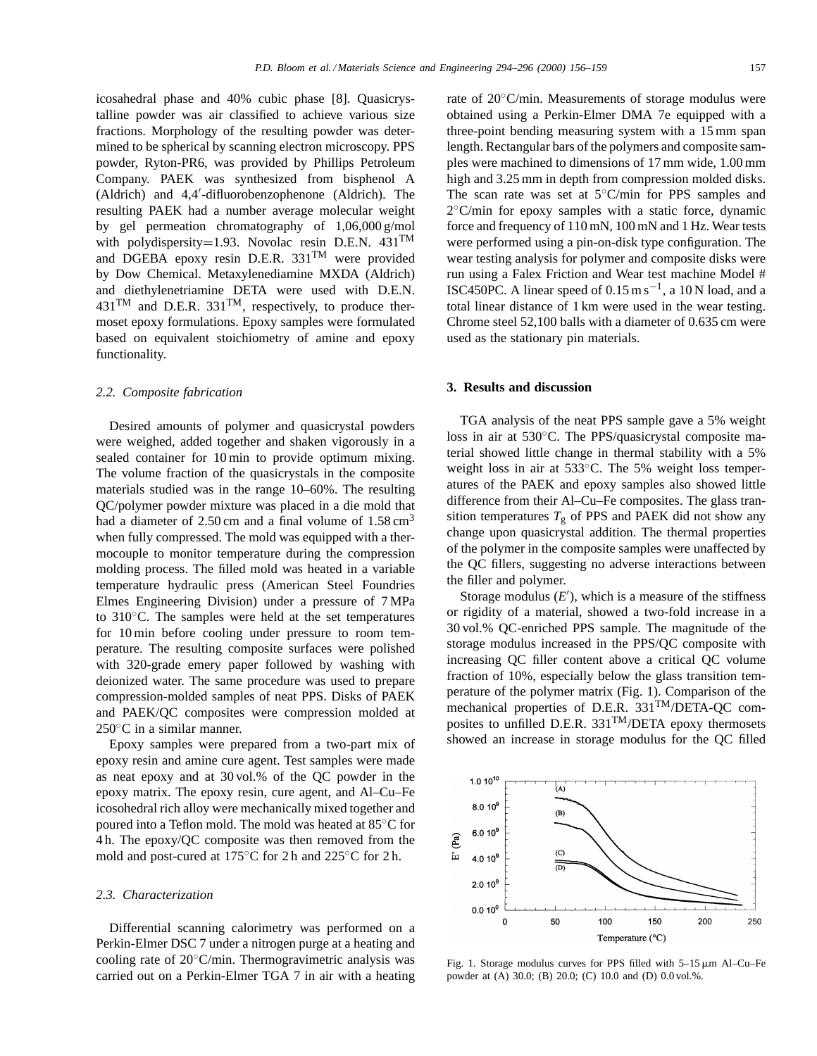icosahedral phase and 40% cubic phase [8]. Quasicrystalline powder was air classified to achieve various size fractions. Morphology of the resulting powder was determined to be spherical by scanning electron microscopy. PPS powder, Ryton-PR6, was provided by Phillips Petroleum Company. PAEK was synthesized from bisphenol A (Aldrich) and 4,4'-difluorobenzophenone (Aldrich). The resulting PAEK had a number average molecular weight by gel permeation chromatography of 1,06,000 g/mol with polydispersity=1.93. Novolac resin D.E.N.  $431^{TM}$ and DGEBA epoxy resin D.E.R.  $331^{TM}$  were provided by Dow Chemical. Metaxylenediamine MXDA (Aldrich) and diethylenetriamine DETA were used with D.E.N.  $431^{\text{TM}}$  and D.E.R.  $331^{\text{TM}}$ , respectively, to produce thermoset epoxy formulations. Epoxy samples were formulated based on equivalent stoichiometry of amine and epoxy functionality.

#### *2.2. Composite fabrication*

Desired amounts of polymer and quasicrystal powders were weighed, added together and shaken vigorously in a sealed container for 10 min to provide optimum mixing. The volume fraction of the quasicrystals in the composite materials studied was in the range 10–60%. The resulting QC/polymer powder mixture was placed in a die mold that had a diameter of  $2.50 \text{ cm}$  and a final volume of  $1.58 \text{ cm}^3$ when fully compressed. The mold was equipped with a thermocouple to monitor temperature during the compression molding process. The filled mold was heated in a variable temperature hydraulic press (American Steel Foundries Elmes Engineering Division) under a pressure of 7 MPa to 310◦C. The samples were held at the set temperatures for 10 min before cooling under pressure to room temperature. The resulting composite surfaces were polished with 320-grade emery paper followed by washing with deionized water. The same procedure was used to prepare compression-molded samples of neat PPS. Disks of PAEK and PAEK/QC composites were compression molded at 250<sup>°</sup>C in a similar manner.

Epoxy samples were prepared from a two-part mix of epoxy resin and amine cure agent. Test samples were made as neat epoxy and at 30 vol.% of the QC powder in the epoxy matrix. The epoxy resin, cure agent, and Al–Cu–Fe icosohedral rich alloy were mechanically mixed together and poured into a Teflon mold. The mold was heated at 85◦C for 4 h. The epoxy/QC composite was then removed from the mold and post-cured at 175◦C for 2 h and 225◦C for 2 h.

### *2.3. Characterization*

Differential scanning calorimetry was performed on a Perkin-Elmer DSC 7 under a nitrogen purge at a heating and cooling rate of 20◦C/min. Thermogravimetric analysis was carried out on a Perkin-Elmer TGA 7 in air with a heating rate of 20◦C/min. Measurements of storage modulus were obtained using a Perkin-Elmer DMA 7e equipped with a three-point bending measuring system with a 15 mm span length. Rectangular bars of the polymers and composite samples were machined to dimensions of 17 mm wide, 1.00 mm high and 3.25 mm in depth from compression molded disks. The scan rate was set at 5◦C/min for PPS samples and 2◦C/min for epoxy samples with a static force, dynamic force and frequency of 110 mN, 100 mN and 1 Hz. Wear tests were performed using a pin-on-disk type configuration. The wear testing analysis for polymer and composite disks were run using a Falex Friction and Wear test machine Model # ISC450PC. A linear speed of  $0.15 \text{ m s}^{-1}$ , a 10 N load, and a total linear distance of 1 km were used in the wear testing. Chrome steel 52,100 balls with a diameter of 0.635 cm were used as the stationary pin materials.

### **3. Results and discussion**

TGA analysis of the neat PPS sample gave a 5% weight loss in air at 530◦C. The PPS/quasicrystal composite material showed little change in thermal stability with a 5% weight loss in air at 533<sup>°</sup>C. The 5% weight loss temperatures of the PAEK and epoxy samples also showed little difference from their Al–Cu–Fe composites. The glass transition temperatures  $T_g$  of PPS and PAEK did not show any change upon quasicrystal addition. The thermal properties of the polymer in the composite samples were unaffected by the QC fillers, suggesting no adverse interactions between the filler and polymer.

Storage modulus  $(E')$ , which is a measure of the stiffness or rigidity of a material, showed a two-fold increase in a 30 vol.% QC-enriched PPS sample. The magnitude of the storage modulus increased in the PPS/QC composite with increasing QC filler content above a critical QC volume fraction of 10%, especially below the glass transition temperature of the polymer matrix (Fig. 1). Comparison of the mechanical properties of D.E.R. 331TM/DETA-QC composites to unfilled D.E.R.  $331^{TM}/DETA$  epoxy thermosets showed an increase in storage modulus for the QC filled



Fig. 1. Storage modulus curves for PPS filled with  $5-15 \,\mu m$  Al–Cu–Fe powder at (A) 30.0; (B) 20.0; (C) 10.0 and (D) 0.0 vol.%.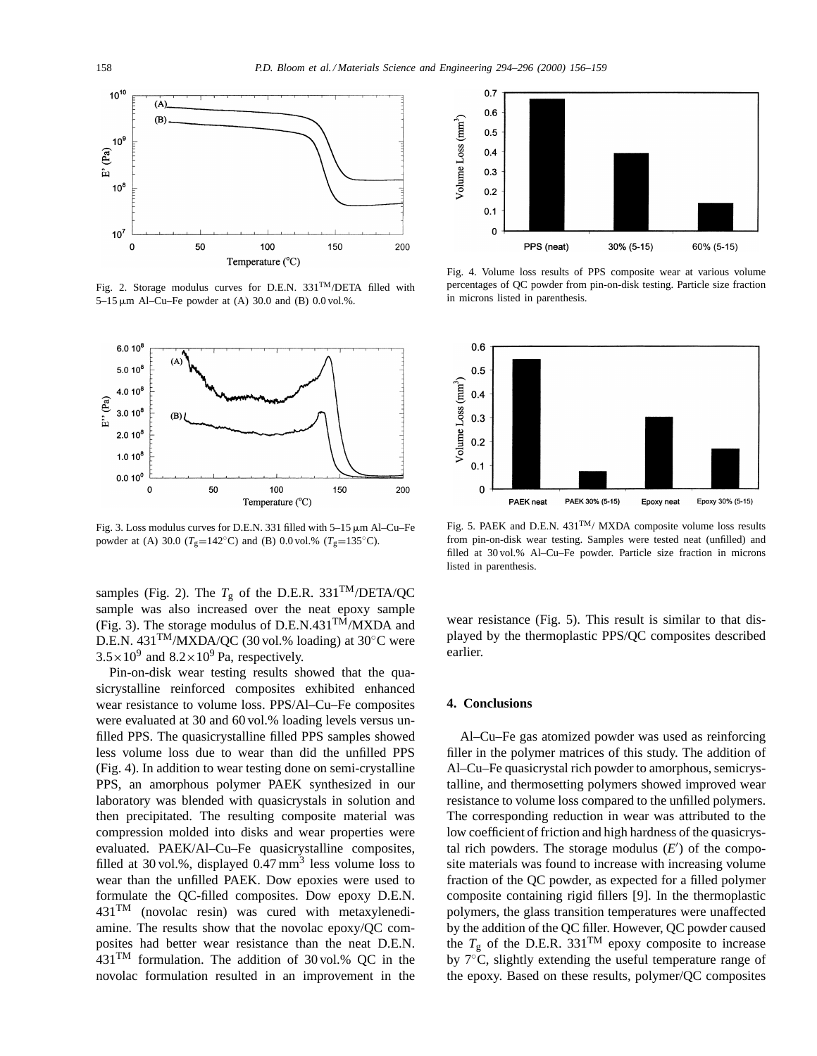

Fig. 2. Storage modulus curves for D.E.N.  $331^{TM}/\text{DETA}$  filled with 5–15  $\mu$ m Al–Cu–Fe powder at (A) 30.0 and (B) 0.0 vol.%.



Fig. 3. Loss modulus curves for D.E.N. 331 filled with  $5-15 \mu m$  Al–Cu–Fe powder at (A) 30.0 ( $T_g$ =142°C) and (B) 0.0 vol.% ( $T_g$ =135°C).

samples (Fig. 2). The  $T_g$  of the D.E.R. 331<sup>TM</sup>/DETA/QC sample was also increased over the neat epoxy sample (Fig. 3). The storage modulus of D.E.N.431 $^{TM}/MXDA$  and D.E.N. 431TM/MXDA/QC (30 vol.% loading) at 30◦C were  $3.5 \times 10^9$  and  $8.2 \times 10^9$  Pa, respectively.

Pin-on-disk wear testing results showed that the quasicrystalline reinforced composites exhibited enhanced wear resistance to volume loss. PPS/Al–Cu–Fe composites were evaluated at 30 and 60 vol.% loading levels versus unfilled PPS. The quasicrystalline filled PPS samples showed less volume loss due to wear than did the unfilled PPS (Fig. 4). In addition to wear testing done on semi-crystalline PPS, an amorphous polymer PAEK synthesized in our laboratory was blended with quasicrystals in solution and then precipitated. The resulting composite material was compression molded into disks and wear properties were evaluated. PAEK/Al–Cu–Fe quasicrystalline composites, filled at 30 vol.%, displayed  $0.47 \text{ mm}^3$  less volume loss to wear than the unfilled PAEK. Dow epoxies were used to formulate the QC-filled composites. Dow epoxy D.E.N. 431TM (novolac resin) was cured with metaxylenediamine. The results show that the novolac epoxy/QC composites had better wear resistance than the neat D.E.N. 431TM formulation. The addition of 30 vol.% QC in the novolac formulation resulted in an improvement in the



Fig. 4. Volume loss results of PPS composite wear at various volume percentages of QC powder from pin-on-disk testing. Particle size fraction in microns listed in parenthesis.



Fig. 5. PAEK and D.E.N. 431TM/ MXDA composite volume loss results from pin-on-disk wear testing. Samples were tested neat (unfilled) and filled at 30 vol.% Al–Cu–Fe powder. Particle size fraction in microns listed in parenthesis.

wear resistance (Fig. 5). This result is similar to that displayed by the thermoplastic PPS/QC composites described earlier.

## **4. Conclusions**

Al–Cu–Fe gas atomized powder was used as reinforcing filler in the polymer matrices of this study. The addition of Al–Cu–Fe quasicrystal rich powder to amorphous, semicrystalline, and thermosetting polymers showed improved wear resistance to volume loss compared to the unfilled polymers. The corresponding reduction in wear was attributed to the low coefficient of friction and high hardness of the quasicrystal rich powders. The storage modulus  $(E')$  of the composite materials was found to increase with increasing volume fraction of the QC powder, as expected for a filled polymer composite containing rigid fillers [9]. In the thermoplastic polymers, the glass transition temperatures were unaffected by the addition of the QC filler. However, QC powder caused the  $T_g$  of the D.E.R. 331<sup>TM</sup> epoxy composite to increase by 7◦C, slightly extending the useful temperature range of the epoxy. Based on these results, polymer/QC composites